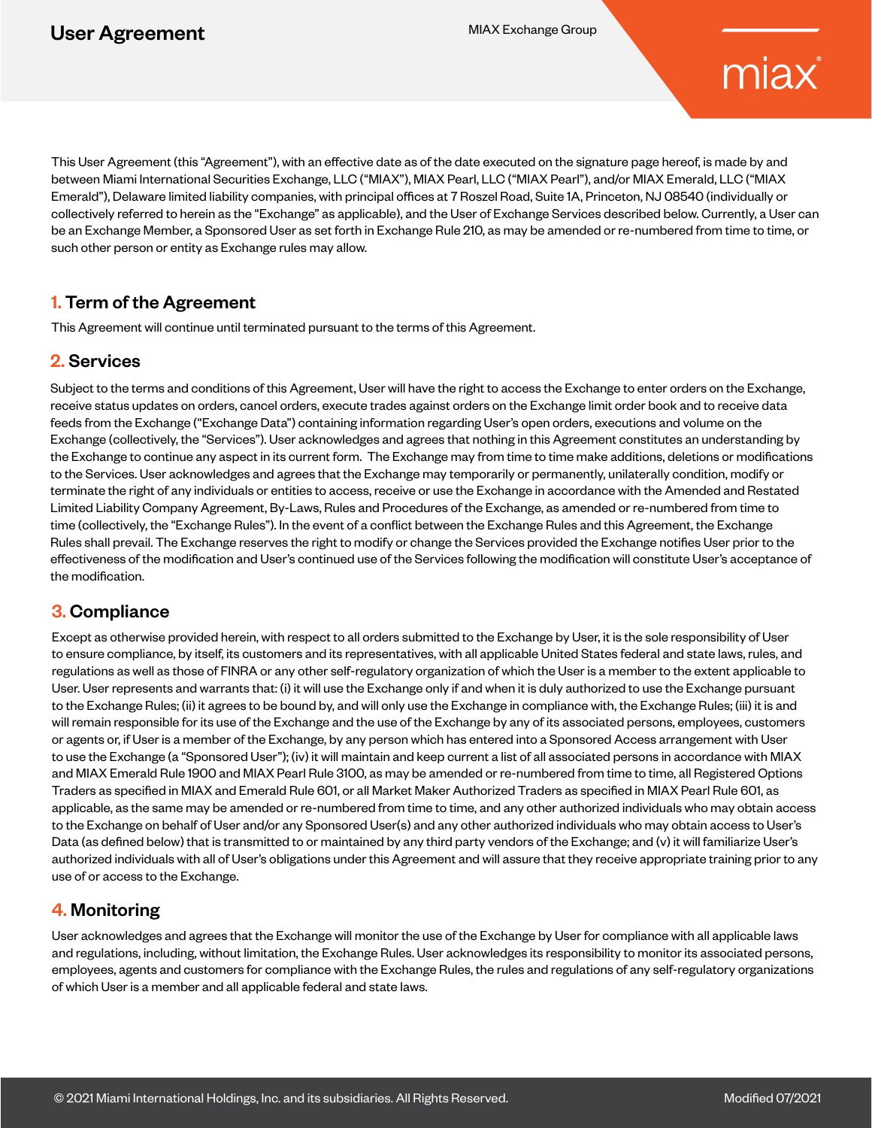# miax

This User Agreement (this "Agreement"), with an effective date as of the date executed on the signature page hereof, is made by and between Miami International Securities Exchange, LLC ("MIAX"), MIAX Pearl, LLC ("MIAX Pearl"), and/or MIAX Emerald, LLC ("MIAX Emerald"), Delaware limited liability companies, with principal offices at 7 Roszel Road, Suite 1A, Princeton, NJ 08540 (individually or collectively referred to herein as the "Exchange" as applicable), and the User of Exchange Services described below. Currently, a User can be an Exchange Member, a Sponsored User as set forth in Exchange Rule 210, as may be amended or re-numbered from time to time, or such other person or entity as Exchange rules may allow.

## 1. Term of the Agreement

This Agreement will continue until terminated pursuant to the terms of this Agreement.

## 2. Services

Subject to the terms and conditions of this Agreement, User will have the right to access the Exchange to enter orders on the Exchange, receive status updates on orders, cancel orders, execute trades against orders on the Exchange limit order book and to receive data feeds from the Exchange ("Exchange Data") containing information regarding User's open orders, executions and volume on the Exchange (collectively, the "Services"). User acknowledges and agrees that nothing in this Agreement constitutes an understanding by the Exchange to continue any aspect in its current form. The Exchange may from time to time make additions, deletions or modifications to the Services. User acknowledges and agrees that the Exchange may temporarily or permanently, unilaterally condition, modify or terminate the right of any individuals or entities to access, receive or use the Exchange in accordance with the Amended and Restated Limited Liability Company Agreement, By-Laws, Rules and Procedures of the Exchange, as amended or re-numbered from time to time (collectively, the "Exchange Rules"). In the event of a conflict between the Exchange Rules and this Agreement, the Exchange Rules shall prevail. The Exchange reserves the right to modify or change the Services provided the Exchange notifies User prior to the effectiveness of the modification and User's continued use of the Services following the modification will constitute User's acceptance of the modification.

## 3. Compliance

Except as otherwise provided herein, with respect to all orders submitted to the Exchange by User, it is the sole responsibility of User to ensure compliance, by itself, its customers and its representatives, with all applicable United States federal and state laws, rules, and regulations as well as those of FINRA or any other self-regulatory organization of which the User is a member to the extent applicable to User. User represents and warrants that: (i) it will use the Exchange only if and when it is duly authorized to use the Exchange pursuant to the Exchange Rules; (ii) it agrees to be bound by, and will only use the Exchange in compliance with, the Exchange Rules; (iii) it is and will remain responsible for its use of the Exchange and the use of the Exchange by any of its associated persons, employees, customers or agents or, if User is a member of the Exchange, by any person which has entered into a Sponsored Access arrangement with User to use the Exchange (a "Sponsored User"); (iv) it will maintain and keep current a list of all associated persons in accordance with MIAX and MIAX Emerald Rule 1900 and MIAX Pearl Rule 3100, as may be amended or re-numbered from time to time, all Registered Options Traders as specified in MIAX and Emerald Rule 601, or all Market Maker Authorized Traders as specified in MIAX Pearl Rule 601, as applicable, as the same may be amended or re-numbered from time to time, and any other authorized individuals who may obtain access to the Exchange on behalf of User and/or any Sponsored User(s) and any other authorized individuals who may obtain access to User's Data (as defined below) that is transmitted to or maintained by any third party vendors of the Exchange; and (v) it will familiarize User's authorized individuals with all of User's obligations under this Agreement and will assure that they receive appropriate training prior to any use of or access to the Exchange.

## 4. Monitoring

User acknowledges and agrees that the Exchange will monitor the use of the Exchange by User for compliance with all applicable laws and regulations, including, without limitation, the Exchange Rules. User acknowledges its responsibility to monitor its associated persons, employees, agents and customers for compliance with the Exchange Rules, the rules and regulations of any self-regulatory organizations of which User is a member and all applicable federal and state laws.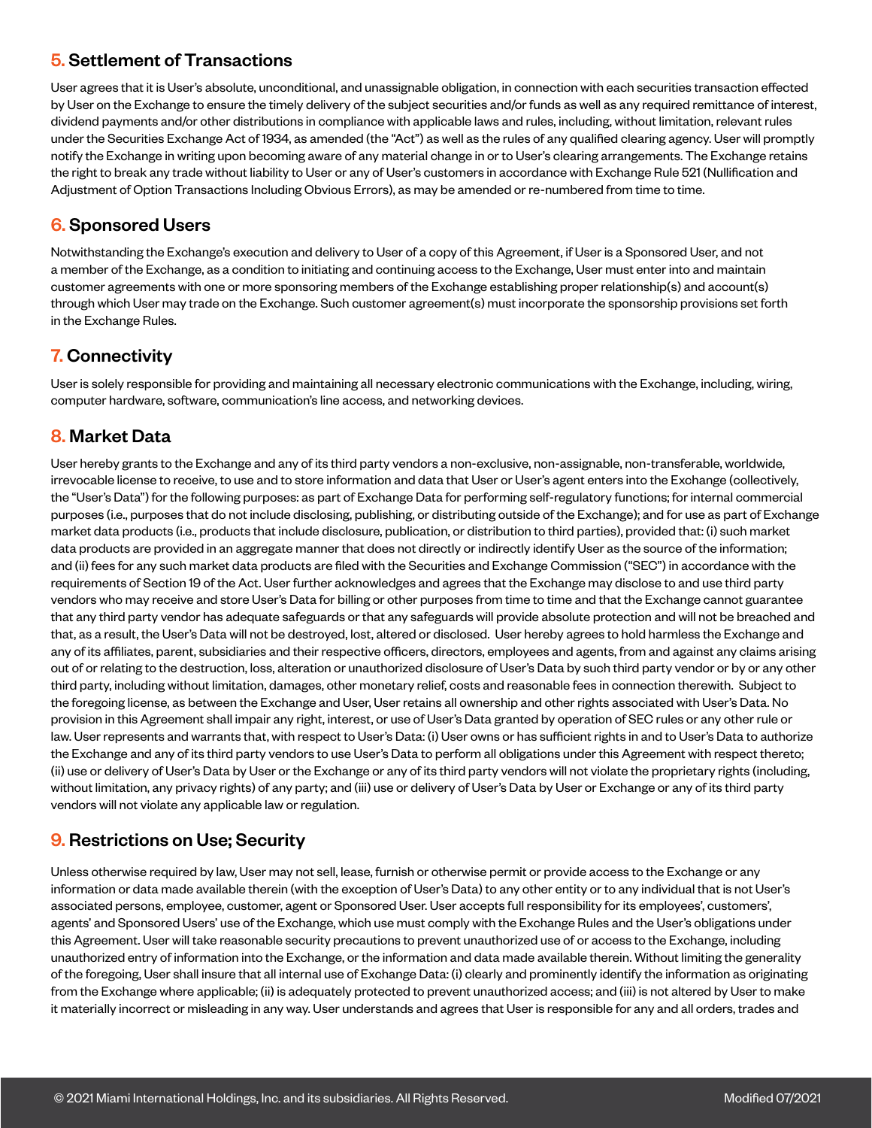## 5. Settlement of Transactions

User agrees that it is User's absolute, unconditional, and unassignable obligation, in connection with each securities transaction effected by User on the Exchange to ensure the timely delivery of the subject securities and/or funds as well as any required remittance of interest, dividend payments and/or other distributions in compliance with applicable laws and rules, including, without limitation, relevant rules under the Securities Exchange Act of 1934, as amended (the "Act") as well as the rules of any qualified clearing agency. User will promptly notify the Exchange in writing upon becoming aware of any material change in or to User's clearing arrangements. The Exchange retains the right to break any trade without liability to User or any of User's customers in accordance with Exchange Rule 521 (Nullification and Adjustment of Option Transactions Including Obvious Errors), as may be amended or re-numbered from time to time.

#### 6. Sponsored Users

Notwithstanding the Exchange's execution and delivery to User of a copy of this Agreement, if User is a Sponsored User, and not a member of the Exchange, as a condition to initiating and continuing access to the Exchange, User must enter into and maintain customer agreements with one or more sponsoring members of the Exchange establishing proper relationship(s) and account(s) through which User may trade on the Exchange. Such customer agreement(s) must incorporate the sponsorship provisions set forth in the Exchange Rules.

## 7. Connectivity

User is solely responsible for providing and maintaining all necessary electronic communications with the Exchange, including, wiring, computer hardware, software, communication's line access, and networking devices.

## 8. Market Data

User hereby grants to the Exchange and any of its third party vendors a non-exclusive, non-assignable, non-transferable, worldwide, irrevocable license to receive, to use and to store information and data that User or User's agent enters into the Exchange (collectively, the "User's Data") for the following purposes: as part of Exchange Data for performing self-regulatory functions; for internal commercial purposes (i.e., purposes that do not include disclosing, publishing, or distributing outside of the Exchange); and for use as part of Exchange market data products (i.e., products that include disclosure, publication, or distribution to third parties), provided that: (i) such market data products are provided in an aggregate manner that does not directly or indirectly identify User as the source of the information; and (ii) fees for any such market data products are filed with the Securities and Exchange Commission ("SEC") in accordance with the requirements of Section 19 of the Act. User further acknowledges and agrees that the Exchange may disclose to and use third party vendors who may receive and store User's Data for billing or other purposes from time to time and that the Exchange cannot guarantee that any third party vendor has adequate safeguards or that any safeguards will provide absolute protection and will not be breached and that, as a result, the User's Data will not be destroyed, lost, altered or disclosed. User hereby agrees to hold harmless the Exchange and any of its affiliates, parent, subsidiaries and their respective officers, directors, employees and agents, from and against any claims arising out of or relating to the destruction, loss, alteration or unauthorized disclosure of User's Data by such third party vendor or by or any other third party, including without limitation, damages, other monetary relief, costs and reasonable fees in connection therewith. Subject to the foregoing license, as between the Exchange and User, User retains all ownership and other rights associated with User's Data. No provision in this Agreement shall impair any right, interest, or use of User's Data granted by operation of SEC rules or any other rule or law. User represents and warrants that, with respect to User's Data: (i) User owns or has sufficient rights in and to User's Data to authorize the Exchange and any of its third party vendors to use User's Data to perform all obligations under this Agreement with respect thereto; (ii) use or delivery of User's Data by User or the Exchange or any of its third party vendors will not violate the proprietary rights (including, without limitation, any privacy rights) of any party; and (iii) use or delivery of User's Data by User or Exchange or any of its third party vendors will not violate any applicable law or regulation.

## 9. Restrictions on Use; Security

Unless otherwise required by law, User may not sell, lease, furnish or otherwise permit or provide access to the Exchange or any information or data made available therein (with the exception of User's Data) to any other entity or to any individual that is not User's associated persons, employee, customer, agent or Sponsored User. User accepts full responsibility for its employees', customers', agents' and Sponsored Users' use of the Exchange, which use must comply with the Exchange Rules and the User's obligations under this Agreement. User will take reasonable security precautions to prevent unauthorized use of or access to the Exchange, including unauthorized entry of information into the Exchange, or the information and data made available therein. Without limiting the generality of the foregoing, User shall insure that all internal use of Exchange Data: (i) clearly and prominently identify the information as originating from the Exchange where applicable; (ii) is adequately protected to prevent unauthorized access; and (iii) is not altered by User to make it materially incorrect or misleading in any way. User understands and agrees that User is responsible for any and all orders, trades and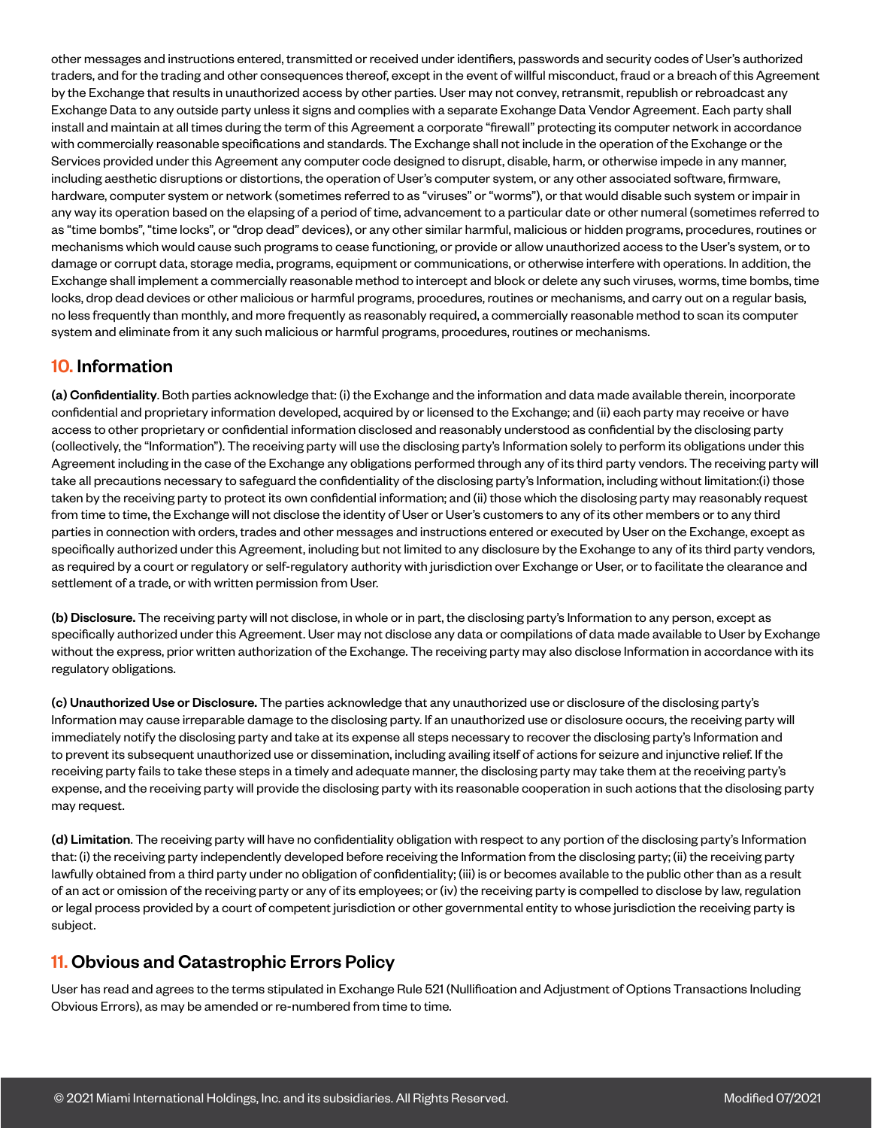other messages and instructions entered, transmitted or received under identifiers, passwords and security codes of User's authorized traders, and for the trading and other consequences thereof, except in the event of willful misconduct, fraud or a breach of this Agreement by the Exchange that results in unauthorized access by other parties. User may not convey, retransmit, republish or rebroadcast any Exchange Data to any outside party unless it signs and complies with a separate Exchange Data Vendor Agreement. Each party shall install and maintain at all times during the term of this Agreement a corporate "firewall" protecting its computer network in accordance with commercially reasonable specifications and standards. The Exchange shall not include in the operation of the Exchange or the Services provided under this Agreement any computer code designed to disrupt, disable, harm, or otherwise impede in any manner, including aesthetic disruptions or distortions, the operation of User's computer system, or any other associated software, firmware, hardware, computer system or network (sometimes referred to as "viruses" or "worms"), or that would disable such system or impair in any way its operation based on the elapsing of a period of time, advancement to a particular date or other numeral (sometimes referred to as "time bombs", "time locks", or "drop dead" devices), or any other similar harmful, malicious or hidden programs, procedures, routines or mechanisms which would cause such programs to cease functioning, or provide or allow unauthorized access to the User's system, or to damage or corrupt data, storage media, programs, equipment or communications, or otherwise interfere with operations. In addition, the Exchange shall implement a commercially reasonable method to intercept and block or delete any such viruses, worms, time bombs, time locks, drop dead devices or other malicious or harmful programs, procedures, routines or mechanisms, and carry out on a regular basis, no less frequently than monthly, and more frequently as reasonably required, a commercially reasonable method to scan its computer system and eliminate from it any such malicious or harmful programs, procedures, routines or mechanisms.

## 10. Information

(a) Confidentiality. Both parties acknowledge that: (i) the Exchange and the information and data made available therein, incorporate confidential and proprietary information developed, acquired by or licensed to the Exchange; and (ii) each party may receive or have access to other proprietary or confidential information disclosed and reasonably understood as confidential by the disclosing party (collectively, the "Information"). The receiving party will use the disclosing party's Information solely to perform its obligations under this Agreement including in the case of the Exchange any obligations performed through any of its third party vendors. The receiving party will take all precautions necessary to safeguard the confidentiality of the disclosing party's Information, including without limitation:(i) those taken by the receiving party to protect its own confidential information; and (ii) those which the disclosing party may reasonably request from time to time, the Exchange will not disclose the identity of User or User's customers to any of its other members or to any third parties in connection with orders, trades and other messages and instructions entered or executed by User on the Exchange, except as specifically authorized under this Agreement, including but not limited to any disclosure by the Exchange to any of its third party vendors, as required by a court or regulatory or self-regulatory authority with jurisdiction over Exchange or User, or to facilitate the clearance and settlement of a trade, or with written permission from User.

(b) Disclosure. The receiving party will not disclose, in whole or in part, the disclosing party's Information to any person, except as specifically authorized under this Agreement. User may not disclose any data or compilations of data made available to User by Exchange without the express, prior written authorization of the Exchange. The receiving party may also disclose Information in accordance with its regulatory obligations.

(c) Unauthorized Use or Disclosure. The parties acknowledge that any unauthorized use or disclosure of the disclosing party's Information may cause irreparable damage to the disclosing party. If an unauthorized use or disclosure occurs, the receiving party will immediately notify the disclosing party and take at its expense all steps necessary to recover the disclosing party's Information and to prevent its subsequent unauthorized use or dissemination, including availing itself of actions for seizure and injunctive relief. If the receiving party fails to take these steps in a timely and adequate manner, the disclosing party may take them at the receiving party's expense, and the receiving party will provide the disclosing party with its reasonable cooperation in such actions that the disclosing party may request.

(d) Limitation. The receiving party will have no confidentiality obligation with respect to any portion of the disclosing party's Information that: (i) the receiving party independently developed before receiving the Information from the disclosing party; (ii) the receiving party lawfully obtained from a third party under no obligation of confidentiality; (iii) is or becomes available to the public other than as a result of an act or omission of the receiving party or any of its employees; or (iv) the receiving party is compelled to disclose by law, regulation or legal process provided by a court of competent jurisdiction or other governmental entity to whose jurisdiction the receiving party is subject.

## 11. Obvious and Catastrophic Errors Policy

User has read and agrees to the terms stipulated in Exchange Rule 521 (Nullification and Adjustment of Options Transactions Including Obvious Errors), as may be amended or re-numbered from time to time.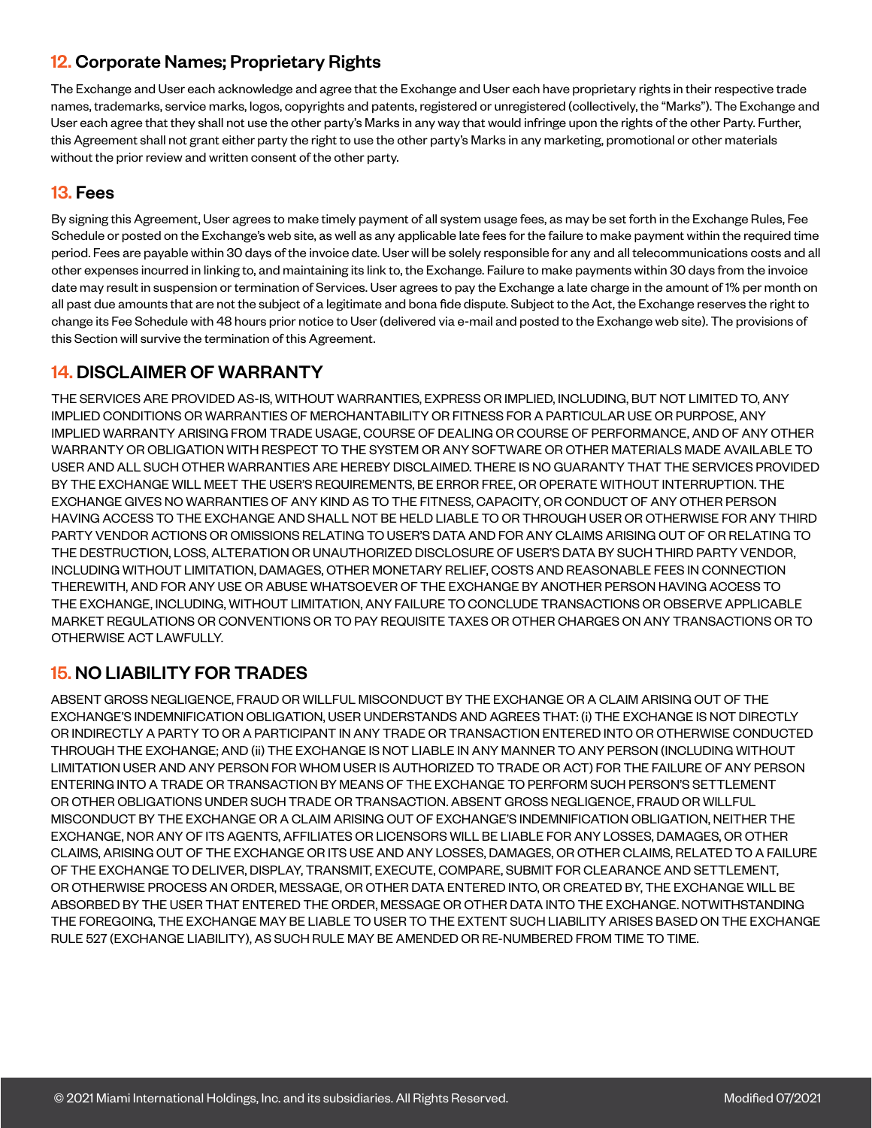## 12. Corporate Names; Proprietary Rights

The Exchange and User each acknowledge and agree that the Exchange and User each have proprietary rights in their respective trade names, trademarks, service marks, logos, copyrights and patents, registered or unregistered (collectively, the "Marks"). The Exchange and User each agree that they shall not use the other party's Marks in any way that would infringe upon the rights of the other Party. Further, this Agreement shall not grant either party the right to use the other party's Marks in any marketing, promotional or other materials without the prior review and written consent of the other party.

#### 13. Fees

By signing this Agreement, User agrees to make timely payment of all system usage fees, as may be set forth in the Exchange Rules, Fee Schedule or posted on the Exchange's web site, as well as any applicable late fees for the failure to make payment within the required time period. Fees are payable within 30 days of the invoice date. User will be solely responsible for any and all telecommunications costs and all other expenses incurred in linking to, and maintaining its link to, the Exchange. Failure to make payments within 30 days from the invoice date may result in suspension or termination of Services. User agrees to pay the Exchange a late charge in the amount of 1% per month on all past due amounts that are not the subject of a legitimate and bona fide dispute. Subject to the Act, the Exchange reserves the right to change its Fee Schedule with 48 hours prior notice to User (delivered via e-mail and posted to the Exchange web site). The provisions of this Section will survive the termination of this Agreement.

## 14. DISCLAIMER OF WARRANTY

THE SERVICES ARE PROVIDED AS-IS, WITHOUT WARRANTIES, EXPRESS OR IMPLIED, INCLUDING, BUT NOT LIMITED TO, ANY IMPLIED CONDITIONS OR WARRANTIES OF MERCHANTABILITY OR FITNESS FOR A PARTICULAR USE OR PURPOSE, ANY IMPLIED WARRANTY ARISING FROM TRADE USAGE, COURSE OF DEALING OR COURSE OF PERFORMANCE, AND OF ANY OTHER WARRANTY OR OBLIGATION WITH RESPECT TO THE SYSTEM OR ANY SOFTWARE OR OTHER MATERIALS MADE AVAILABLE TO USER AND ALL SUCH OTHER WARRANTIES ARE HEREBY DISCLAIMED. THERE IS NO GUARANTY THAT THE SERVICES PROVIDED BY THE EXCHANGE WILL MEET THE USER'S REQUIREMENTS, BE ERROR FREE, OR OPERATE WITHOUT INTERRUPTION. THE EXCHANGE GIVES NO WARRANTIES OF ANY KIND AS TO THE FITNESS, CAPACITY, OR CONDUCT OF ANY OTHER PERSON HAVING ACCESS TO THE EXCHANGE AND SHALL NOT BE HELD LIABLE TO OR THROUGH USER OR OTHERWISE FOR ANY THIRD PARTY VENDOR ACTIONS OR OMISSIONS RELATING TO USER'S DATA AND FOR ANY CLAIMS ARISING OUT OF OR RELATING TO THE DESTRUCTION, LOSS, ALTERATION OR UNAUTHORIZED DISCLOSURE OF USER'S DATA BY SUCH THIRD PARTY VENDOR, INCLUDING WITHOUT LIMITATION, DAMAGES, OTHER MONETARY RELIEF, COSTS AND REASONABLE FEES IN CONNECTION THEREWITH, AND FOR ANY USE OR ABUSE WHATSOEVER OF THE EXCHANGE BY ANOTHER PERSON HAVING ACCESS TO THE EXCHANGE, INCLUDING, WITHOUT LIMITATION, ANY FAILURE TO CONCLUDE TRANSACTIONS OR OBSERVE APPLICABLE MARKET REGULATIONS OR CONVENTIONS OR TO PAY REQUISITE TAXES OR OTHER CHARGES ON ANY TRANSACTIONS OR TO OTHERWISE ACT LAWFULLY.

# 15. NO LIABILITY FOR TRADES

ABSENT GROSS NEGLIGENCE, FRAUD OR WILLFUL MISCONDUCT BY THE EXCHANGE OR A CLAIM ARISING OUT OF THE EXCHANGE'S INDEMNIFICATION OBLIGATION, USER UNDERSTANDS AND AGREES THAT: (i) THE EXCHANGE IS NOT DIRECTLY OR INDIRECTLY A PARTY TO OR A PARTICIPANT IN ANY TRADE OR TRANSACTION ENTERED INTO OR OTHERWISE CONDUCTED THROUGH THE EXCHANGE; AND (ii) THE EXCHANGE IS NOT LIABLE IN ANY MANNER TO ANY PERSON (INCLUDING WITHOUT LIMITATION USER AND ANY PERSON FOR WHOM USER IS AUTHORIZED TO TRADE OR ACT) FOR THE FAILURE OF ANY PERSON ENTERING INTO A TRADE OR TRANSACTION BY MEANS OF THE EXCHANGE TO PERFORM SUCH PERSON'S SETTLEMENT OR OTHER OBLIGATIONS UNDER SUCH TRADE OR TRANSACTION. ABSENT GROSS NEGLIGENCE, FRAUD OR WILLFUL MISCONDUCT BY THE EXCHANGE OR A CLAIM ARISING OUT OF EXCHANGE'S INDEMNIFICATION OBLIGATION, NEITHER THE EXCHANGE, NOR ANY OF ITS AGENTS, AFFILIATES OR LICENSORS WILL BE LIABLE FOR ANY LOSSES, DAMAGES, OR OTHER CLAIMS, ARISING OUT OF THE EXCHANGE OR ITS USE AND ANY LOSSES, DAMAGES, OR OTHER CLAIMS, RELATED TO A FAILURE OF THE EXCHANGE TO DELIVER, DISPLAY, TRANSMIT, EXECUTE, COMPARE, SUBMIT FOR CLEARANCE AND SETTLEMENT, OR OTHERWISE PROCESS AN ORDER, MESSAGE, OR OTHER DATA ENTERED INTO, OR CREATED BY, THE EXCHANGE WILL BE ABSORBED BY THE USER THAT ENTERED THE ORDER, MESSAGE OR OTHER DATA INTO THE EXCHANGE. NOTWITHSTANDING THE FOREGOING, THE EXCHANGE MAY BE LIABLE TO USER TO THE EXTENT SUCH LIABILITY ARISES BASED ON THE EXCHANGE RULE 527 (EXCHANGE LIABILITY), AS SUCH RULE MAY BE AMENDED OR RE-NUMBERED FROM TIME TO TIME.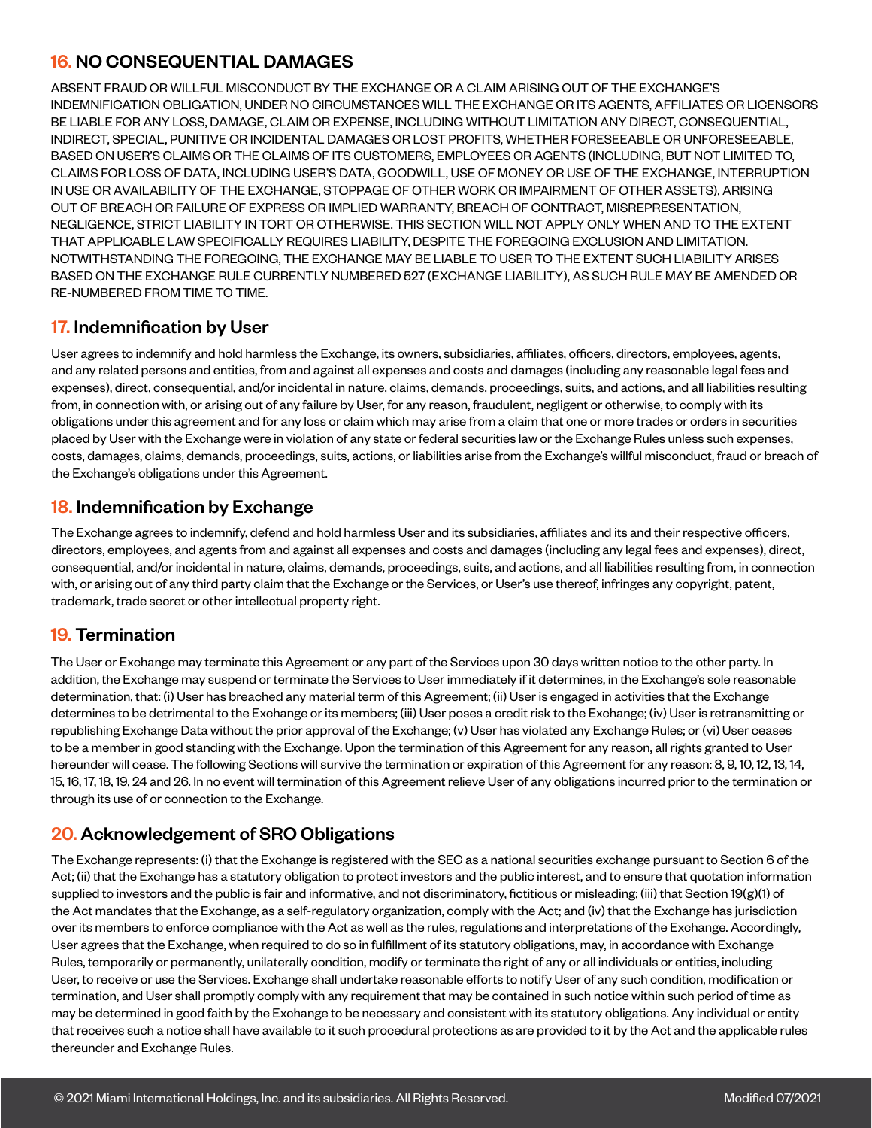## 16. NO CONSEQUENTIAL DAMAGES

ABSENT FRAUD OR WILLFUL MISCONDUCT BY THE EXCHANGE OR A CLAIM ARISING OUT OF THE EXCHANGE'S INDEMNIFICATION OBLIGATION, UNDER NO CIRCUMSTANCES WILL THE EXCHANGE OR ITS AGENTS, AFFILIATES OR LICENSORS BE LIABLE FOR ANY LOSS, DAMAGE, CLAIM OR EXPENSE, INCLUDING WITHOUT LIMITATION ANY DIRECT, CONSEQUENTIAL, INDIRECT, SPECIAL, PUNITIVE OR INCIDENTAL DAMAGES OR LOST PROFITS, WHETHER FORESEEABLE OR UNFORESEEABLE, BASED ON USER'S CLAIMS OR THE CLAIMS OF ITS CUSTOMERS, EMPLOYEES OR AGENTS (INCLUDING, BUT NOT LIMITED TO, CLAIMS FOR LOSS OF DATA, INCLUDING USER'S DATA, GOODWILL, USE OF MONEY OR USE OF THE EXCHANGE, INTERRUPTION IN USE OR AVAILABILITY OF THE EXCHANGE, STOPPAGE OF OTHER WORK OR IMPAIRMENT OF OTHER ASSETS), ARISING OUT OF BREACH OR FAILURE OF EXPRESS OR IMPLIED WARRANTY, BREACH OF CONTRACT, MISREPRESENTATION, NEGLIGENCE, STRICT LIABILITY IN TORT OR OTHERWISE. THIS SECTION WILL NOT APPLY ONLY WHEN AND TO THE EXTENT THAT APPLICABLE LAW SPECIFICALLY REQUIRES LIABILITY, DESPITE THE FOREGOING EXCLUSION AND LIMITATION. NOTWITHSTANDING THE FOREGOING, THE EXCHANGE MAY BE LIABLE TO USER TO THE EXTENT SUCH LIABILITY ARISES BASED ON THE EXCHANGE RULE CURRENTLY NUMBERED 527 (EXCHANGE LIABILITY), AS SUCH RULE MAY BE AMENDED OR RE-NUMBERED FROM TIME TO TIME.

## 17. Indemnification by User

User agrees to indemnify and hold harmless the Exchange, its owners, subsidiaries, affiliates, officers, directors, employees, agents, and any related persons and entities, from and against all expenses and costs and damages (including any reasonable legal fees and expenses), direct, consequential, and/or incidental in nature, claims, demands, proceedings, suits, and actions, and all liabilities resulting from, in connection with, or arising out of any failure by User, for any reason, fraudulent, negligent or otherwise, to comply with its obligations under this agreement and for any loss or claim which may arise from a claim that one or more trades or orders in securities placed by User with the Exchange were in violation of any state or federal securities law or the Exchange Rules unless such expenses, costs, damages, claims, demands, proceedings, suits, actions, or liabilities arise from the Exchange's willful misconduct, fraud or breach of the Exchange's obligations under this Agreement.

## **18. Indemnification by Exchange**

The Exchange agrees to indemnify, defend and hold harmless User and its subsidiaries, affiliates and its and their respective officers, directors, employees, and agents from and against all expenses and costs and damages (including any legal fees and expenses), direct, consequential, and/or incidental in nature, claims, demands, proceedings, suits, and actions, and all liabilities resulting from, in connection with, or arising out of any third party claim that the Exchange or the Services, or User's use thereof, infringes any copyright, patent, trademark, trade secret or other intellectual property right.

## 19. Termination

The User or Exchange may terminate this Agreement or any part of the Services upon 30 days written notice to the other party. In addition, the Exchange may suspend or terminate the Services to User immediately if it determines, in the Exchange's sole reasonable determination, that: (i) User has breached any material term of this Agreement; (ii) User is engaged in activities that the Exchange determines to be detrimental to the Exchange or its members; (iii) User poses a credit risk to the Exchange; (iv) User is retransmitting or republishing Exchange Data without the prior approval of the Exchange; (v) User has violated any Exchange Rules; or (vi) User ceases to be a member in good standing with the Exchange. Upon the termination of this Agreement for any reason, all rights granted to User hereunder will cease. The following Sections will survive the termination or expiration of this Agreement for any reason: 8, 9, 10, 12, 13, 14, 15, 16, 17, 18, 19, 24 and 26. In no event will termination of this Agreement relieve User of any obligations incurred prior to the termination or through its use of or connection to the Exchange.

## 20. Acknowledgement of SRO Obligations

The Exchange represents: (i) that the Exchange is registered with the SEC as a national securities exchange pursuant to Section 6 of the Act; (ii) that the Exchange has a statutory obligation to protect investors and the public interest, and to ensure that quotation information supplied to investors and the public is fair and informative, and not discriminatory, fictitious or misleading; (iii) that Section 19(g)(1) of the Act mandates that the Exchange, as a self-regulatory organization, comply with the Act; and (iv) that the Exchange has jurisdiction over its members to enforce compliance with the Act as well as the rules, regulations and interpretations of the Exchange. Accordingly, User agrees that the Exchange, when required to do so in fulfillment of its statutory obligations, may, in accordance with Exchange Rules, temporarily or permanently, unilaterally condition, modify or terminate the right of any or all individuals or entities, including User, to receive or use the Services. Exchange shall undertake reasonable efforts to notify User of any such condition, modification or termination, and User shall promptly comply with any requirement that may be contained in such notice within such period of time as may be determined in good faith by the Exchange to be necessary and consistent with its statutory obligations. Any individual or entity that receives such a notice shall have available to it such procedural protections as are provided to it by the Act and the applicable rules thereunder and Exchange Rules.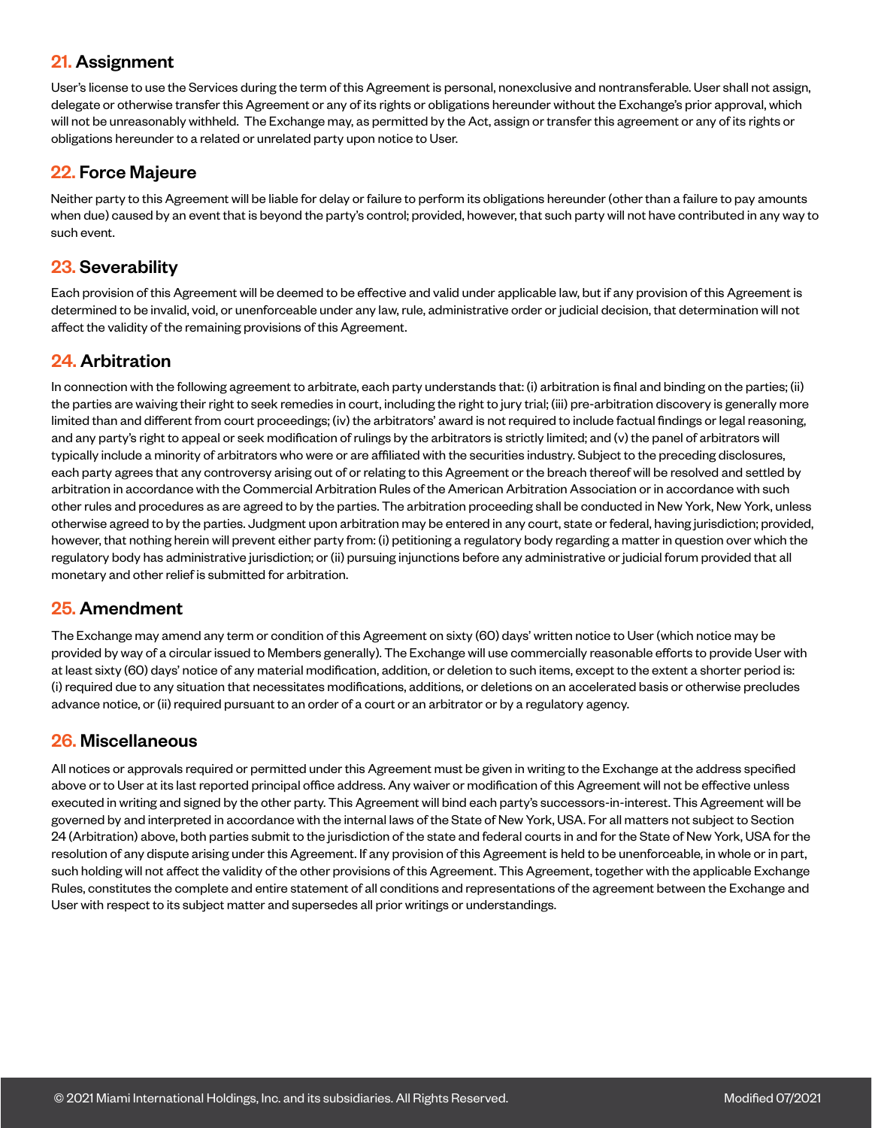#### 21. Assignment

User's license to use the Services during the term of this Agreement is personal, nonexclusive and nontransferable. User shall not assign, delegate or otherwise transfer this Agreement or any of its rights or obligations hereunder without the Exchange's prior approval, which will not be unreasonably withheld. The Exchange may, as permitted by the Act, assign or transfer this agreement or any of its rights or obligations hereunder to a related or unrelated party upon notice to User.

#### 22. Force Majeure

Neither party to this Agreement will be liable for delay or failure to perform its obligations hereunder (other than a failure to pay amounts when due) caused by an event that is beyond the party's control; provided, however, that such party will not have contributed in any way to such event.

#### 23. Severability

Each provision of this Agreement will be deemed to be effective and valid under applicable law, but if any provision of this Agreement is determined to be invalid, void, or unenforceable under any law, rule, administrative order or judicial decision, that determination will not affect the validity of the remaining provisions of this Agreement.

#### 24. Arbitration

In connection with the following agreement to arbitrate, each party understands that: (i) arbitration is final and binding on the parties; (ii) the parties are waiving their right to seek remedies in court, including the right to jury trial; (iii) pre-arbitration discovery is generally more limited than and different from court proceedings; (iv) the arbitrators' award is not required to include factual findings or legal reasoning, and any party's right to appeal or seek modification of rulings by the arbitrators is strictly limited; and (v) the panel of arbitrators will typically include a minority of arbitrators who were or are affiliated with the securities industry. Subject to the preceding disclosures, each party agrees that any controversy arising out of or relating to this Agreement or the breach thereof will be resolved and settled by arbitration in accordance with the Commercial Arbitration Rules of the American Arbitration Association or in accordance with such other rules and procedures as are agreed to by the parties. The arbitration proceeding shall be conducted in New York, New York, unless otherwise agreed to by the parties. Judgment upon arbitration may be entered in any court, state or federal, having jurisdiction; provided, however, that nothing herein will prevent either party from: (i) petitioning a regulatory body regarding a matter in question over which the regulatory body has administrative jurisdiction; or (ii) pursuing injunctions before any administrative or judicial forum provided that all monetary and other relief is submitted for arbitration.

#### 25. Amendment

The Exchange may amend any term or condition of this Agreement on sixty (60) days' written notice to User (which notice may be provided by way of a circular issued to Members generally). The Exchange will use commercially reasonable efforts to provide User with at least sixty (60) days' notice of any material modification, addition, or deletion to such items, except to the extent a shorter period is: (i) required due to any situation that necessitates modifications, additions, or deletions on an accelerated basis or otherwise precludes advance notice, or (ii) required pursuant to an order of a court or an arbitrator or by a regulatory agency.

#### 26. Miscellaneous

All notices or approvals required or permitted under this Agreement must be given in writing to the Exchange at the address specified above or to User at its last reported principal office address. Any waiver or modification of this Agreement will not be effective unless executed in writing and signed by the other party. This Agreement will bind each party's successors-in-interest. This Agreement will be governed by and interpreted in accordance with the internal laws of the State of New York, USA. For all matters not subject to Section 24 (Arbitration) above, both parties submit to the jurisdiction of the state and federal courts in and for the State of New York, USA for the resolution of any dispute arising under this Agreement. If any provision of this Agreement is held to be unenforceable, in whole or in part, such holding will not affect the validity of the other provisions of this Agreement. This Agreement, together with the applicable Exchange Rules, constitutes the complete and entire statement of all conditions and representations of the agreement between the Exchange and User with respect to its subject matter and supersedes all prior writings or understandings.